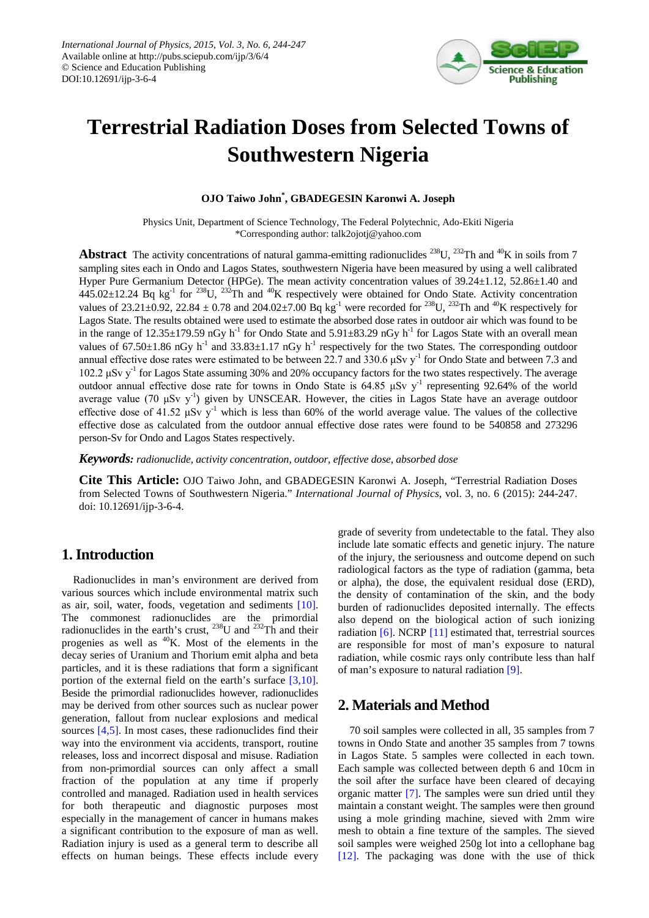

# **Terrestrial Radiation Doses from Selected Towns of Southwestern Nigeria**

### **OJO Taiwo John\* , GBADEGESIN Karonwi A. Joseph**

Physics Unit, Department of Science Technology, The Federal Polytechnic, Ado-Ekiti Nigeria \*Corresponding author: talk2ojotj@yahoo.com

**Abstract** The activity concentrations of natural gamma-emitting radionuclides <sup>238</sup>U, <sup>232</sup>Th and <sup>40</sup>K in soils from 7 sampling sites each in Ondo and Lagos States, southwestern Nigeria have been measured by using a well calibrated Hyper Pure Germanium Detector (HPGe). The mean activity concentration values of 39.24±1.12, 52.86±1.40 and  $445.02\pm12.24$  Bq kg<sup>-1</sup> for <sup>238</sup>U, <sup>232</sup>Th and <sup>40</sup>K respectively were obtained for Ondo State. Activity concentration values of  $23.21\pm0.92$ ,  $22.84\pm0.78$  and  $204.02\pm7.00$  Bq kg<sup>-1</sup> were recorded for  $^{238}$ U,  $^{232}$ Th and  $^{40}$ K respectively for Lagos State. The results obtained were used to estimate the absorbed dose rates in outdoor air which was found to be in the range of  $12.35\pm179.59$  nGy h<sup>-1</sup> for Ondo State and  $5.91\pm83.29$  nGy h<sup>-1</sup> for Lagos State with an overall mean values of  $67.50\pm1.86$  nGy h<sup>-1</sup> and  $33.83\pm1.17$  nGy h<sup>-1</sup> respectively for the two States. The corresponding outdoor annual effective dose rates were estimated to be between 22.7 and 330.6  $\mu$ Sv y<sup>-1</sup> for Ondo State and between 7.3 and 102.2 μSv y-1 for Lagos State assuming 30% and 20% occupancy factors for the two states respectively. The average outdoor annual effective dose rate for towns in Ondo State is 64.85 μSv y-1 representing 92.64% of the world average value (70  $\mu$ Sv y<sup>-1</sup>) given by UNSCEAR. However, the cities in Lagos State have an average outdoor effective dose of 41.52 μSv y<sup>-1</sup> which is less than 60% of the world average value. The values of the collective effective dose as calculated from the outdoor annual effective dose rates were found to be 540858 and 273296 person-Sv for Ondo and Lagos States respectively.

*Keywords: radionuclide, activity concentration, outdoor, effective dose, absorbed dose*

**Cite This Article:** OJO Taiwo John, and GBADEGESIN Karonwi A. Joseph, "Terrestrial Radiation Doses from Selected Towns of Southwestern Nigeria." *International Journal of Physics*, vol. 3, no. 6 (2015): 244-247. doi: 10.12691/ijp-3-6-4.

# **1. Introduction**

Radionuclides in man's environment are derived from various sources which include environmental matrix such as air, soil, water, foods, vegetation and sediments [\[10\].](#page-3-0) The commonest radionuclides are the primordial radionuclides in the earth's crust,  $^{238}$ U and  $^{232}$ Th and their progenies as well as  $^{40}$ K. Most of the elements in the decay series of Uranium and Thorium emit alpha and beta particles, and it is these radiations that form a significant portion of the external field on the earth's surface [\[3,10\].](#page-2-0) Beside the primordial radionuclides however, radionuclides may be derived from other sources such as nuclear power generation, fallout from nuclear explosions and medical sources [\[4,5\].](#page-2-1) In most cases, these radionuclides find their way into the environment via accidents, transport, routine releases, loss and incorrect disposal and misuse. Radiation from non-primordial sources can only affect a small fraction of the population at any time if properly controlled and managed. Radiation used in health services for both therapeutic and diagnostic purposes most especially in the management of cancer in humans makes a significant contribution to the exposure of man as well. Radiation injury is used as a general term to describe all effects on human beings. These effects include every

grade of severity from undetectable to the fatal. They also include late somatic effects and genetic injury. The nature of the injury, the seriousness and outcome depend on such radiological factors as the type of radiation (gamma, beta or alpha), the dose, the equivalent residual dose (ERD), the density of contamination of the skin, and the body burden of radionuclides deposited internally. The effects also depend on the biological action of such ionizing radiation [\[6\].](#page-2-2) NCRP [\[11\]](#page-3-1) estimated that, terrestrial sources are responsible for most of man's exposure to natural radiation, while cosmic rays only contribute less than half of man's exposure to natural radiation [\[9\].](#page-3-2)

## **2. Materials and Method**

70 soil samples were collected in all, 35 samples from 7 towns in Ondo State and another 35 samples from 7 towns in Lagos State. 5 samples were collected in each town. Each sample was collected between depth 6 and 10cm in the soil after the surface have been cleared of decaying organic matter [\[7\].](#page-3-3) The samples were sun dried until they maintain a constant weight. The samples were then ground using a mole grinding machine, sieved with 2mm wire mesh to obtain a fine texture of the samples. The sieved soil samples were weighed 250g lot into a cellophane bag [\[12\].](#page-3-4) The packaging was done with the use of thick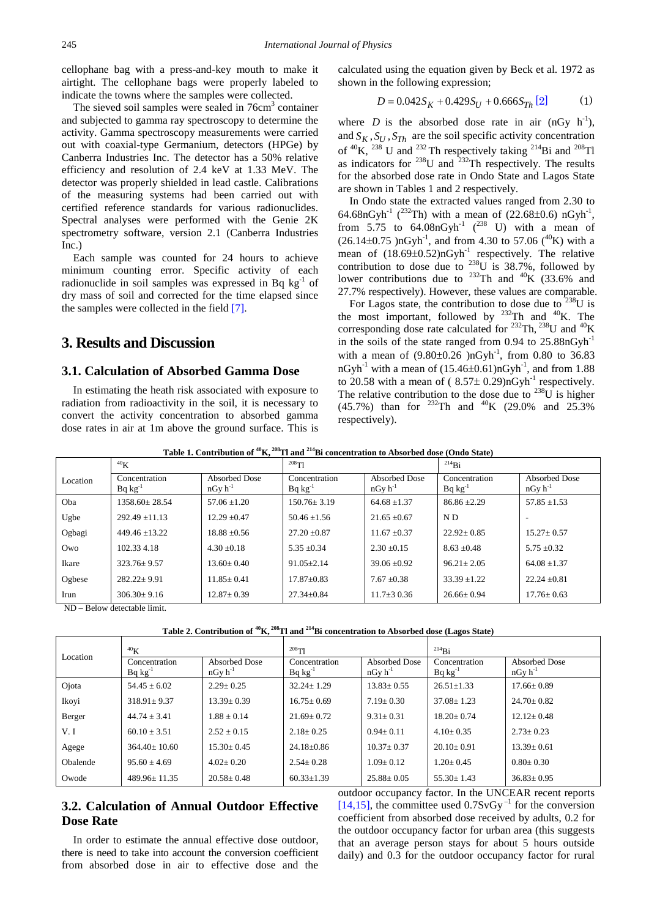cellophane bag with a press-and-key mouth to make it airtight. The cellophane bags were properly labeled to indicate the towns where the samples were collected.

The sieved soil samples were sealed in 76cm<sup>3</sup> container and subjected to gamma ray spectroscopy to determine the activity. Gamma spectroscopy measurements were carried out with coaxial-type Germanium, detectors (HPGe) by Canberra Industries Inc. The detector has a 50% relative efficiency and resolution of 2.4 keV at 1.33 MeV. The detector was properly shielded in lead castle. Calibrations of the measuring systems had been carried out with certified reference standards for various radionuclides. Spectral analyses were performed with the Genie 2K spectrometry software, version 2.1 (Canberra Industries Inc.)

Each sample was counted for 24 hours to achieve minimum counting error. Specific activity of each radionuclide in soil samples was expressed in Bq  $kg^{-1}$  of dry mass of soil and corrected for the time elapsed since the samples were collected in the field [\[7\].](#page-3-3)

# **3. Results and Discussion**

#### **3.1. Calculation of Absorbed Gamma Dose**

In estimating the heath risk associated with exposure to radiation from radioactivity in the soil, it is necessary to convert the activity concentration to absorbed gamma dose rates in air at 1m above the ground surface. This is calculated using the equation given by Beck et al. 1972 as shown in the following expression;

$$
D = 0.042S_K + 0.429S_U + 0.666S_{Th} [2]
$$
 (1)

where *D* is the absorbed dose rate in air  $(nGy h^{-1})$ , and  $S_K$ ,  $S_U$ ,  $S_{Th}$  are the soil specific activity concentration of  ${}^{40}$ K,  ${}^{238}$  U and  ${}^{232}$  Th respectively taking  ${}^{214}$ Bi and  ${}^{208}$ Tl as indicators for  $^{238}$ U and  $^{232}$ Th respectively. The results for the absorbed dose rate in Ondo State and Lagos State are shown in Tables 1 and 2 respectively.

In Ondo state the extracted values ranged from 2.30 to 64.68nGyh<sup>-1</sup> (<sup>232</sup>Th) with a mean of (22.68±0.6) nGyh<sup>-1</sup>, from 5.75 to  $64.08nGyh^1$  (<sup>238</sup> U) with a mean of  $(26.14\pm0.75 \text{ )nGyh}^{-1}$ , and from 4.30 to 57.06 (<sup>40</sup>K) with a mean of  $(18.69\pm0.52)$ nGyh<sup>-1</sup> respectively. The relative contribution to dose due to  $^{238}U$  is 38.7%, followed by lower contributions due to  $^{232}$ Th and  $^{40}$ K (33.6% and 27.7% respectively). However, these values are comparable.

For Lagos state, the contribution to dose due to  $238$ U is the most important, followed by  $232$ Th and  $40$ K. The corresponding dose rate calculated for  $^{232}$ Th,  $^{238}$ U and  $^{40}$ K in the soils of the state ranged from  $0.94$  to  $25.88nGvh<sup>-1</sup>$ with a mean of  $(9.80 \pm 0.26)$  nGyh<sup>-1</sup>, from 0.80 to 36.83 nGyh<sup>-1</sup> with a mean of  $(15.46\pm0.61)$ nGyh<sup>-1</sup>, and from 1.88 to 20.58 with a mean of ( $8.57 \pm 0.29$ )nGyh<sup>-1</sup> respectively. The relative contribution to the dose due to  $^{238}$ U is higher (45.7%) than for <sup>232</sup>Th and <sup>40</sup>K (29.0% and 25.3%) respectively).

**Table 1. Contribution of 40K, 208Tl and 214Bi concentration to Absorbed dose (Ondo State)** 

|                                        | 40 <sub>K</sub>               |                               | $208$ Tl                      |                               | $^{214}Bi$                    |                               |
|----------------------------------------|-------------------------------|-------------------------------|-------------------------------|-------------------------------|-------------------------------|-------------------------------|
| Location                               | Concentration<br>$Bq kg^{-1}$ | Absorbed Dose<br>$nGv h^{-1}$ | Concentration<br>$Bq kg^{-1}$ | Absorbed Dose<br>$nGv h^{-1}$ | Concentration<br>$Bq kg^{-1}$ | Absorbed Dose<br>$nGv h^{-1}$ |
| Oba                                    | 1358.60+28.54                 | $57.06 + 1.20$                | $150.76 + 3.19$               | $64.68 + 1.37$                | $86.86 \pm 2.29$              | $57.85 \pm 1.53$              |
| Ugbe                                   | $292.49 + 11.13$              | $12.29 + 0.47$                | $50.46 \pm 1.56$              | $21.65 + 0.67$                | ND                            |                               |
| Ogbagi                                 | $449.46 + 13.22$              | $18.88 + 0.56$                | $27.20 + 0.87$                | $11.67 \pm 0.37$              | $22.92 + 0.85$                | $15.27 + 0.57$                |
| Owo                                    | 102.33 4.18                   | $4.30 + 0.18$                 | $5.35 + 0.34$                 | $2.30 + 0.15$                 | $8.63 + 0.48$                 | $5.75 + 0.32$                 |
| Ikare                                  | $323.76 + 9.57$               | $13.60 + 0.40$                | $91.05 + 2.14$                | $39.06 + 0.92$                | $96.21 + 2.05$                | $64.08 + 1.37$                |
| Ogbese                                 | $282.22 + 9.91$               | $11.85 + 0.41$                | $17.87 + 0.83$                | $7.67 + 0.38$                 | $33.39 + 1.22$                | $22.24 + 0.81$                |
| Irun                                   | $306.30 + 9.16$               | $12.87 \pm 0.39$              | $27.34 \pm 0.84$              | $11.7\pm3.036$                | $26.66 \pm 0.94$              | $17.76 \pm 0.63$              |
| $\mathbf{m}$ $\mathbf{n}$ $\mathbf{t}$ |                               |                               |                               |                               |                               |                               |

ND – Below detectable limit.

| Location | 40 <sub>K</sub>               |                               | $^{208}$ Tl                   |                               | $214}$ Bi                     |                               |
|----------|-------------------------------|-------------------------------|-------------------------------|-------------------------------|-------------------------------|-------------------------------|
|          | Concentration<br>$Bq kg^{-1}$ | Absorbed Dose<br>$nGv h^{-1}$ | Concentration<br>$Bq kg^{-1}$ | Absorbed Dose<br>$nGv h^{-1}$ | Concentration<br>$Bq kg^{-1}$ | Absorbed Dose<br>$nGv h^{-1}$ |
| Ojota    | $54.45 + 6.02$                | $2.29 + 0.25$                 | $32.24 + 1.29$                | $13.83 \pm 0.55$              | $26.51 + 1.33$                | $17.66 + 0.89$                |
| Ikoyi    | $318.91 + 9.37$               | $13.39 \pm 0.39$              | $16.75 + 0.69$                | $7.19 + 0.30$                 | $37.08 + 1.23$                | $24.70 + 0.82$                |
| Berger   | $44.74 + 3.41$                | $1.88 + 0.14$                 | $21.69 + 0.72$                | $9.31 + 0.31$                 | $18.20 + 0.74$                | $12.12+0.48$                  |
| V. I     | $60.10 + 3.51$                | $2.52 + 0.15$                 | $2.18 + 0.25$                 | $0.94 + 0.11$                 | $4.10+0.35$                   | $2.73 + 0.23$                 |
| Agege    | $364.40 + 10.60$              | $15.30 \pm 0.45$              | $24.18 + 0.86$                | $10.37 + 0.37$                | $20.10+0.91$                  | $13.39 \pm 0.61$              |
| Obalende | $95.60 + 4.69$                | $4.02 + 0.20$                 | $2.54 + 0.28$                 | $1.09 + 0.12$                 | $1.20 + 0.45$                 | $0.80 + 0.30$                 |
| Owode    | $489.96 + 11.35$              | $20.58 \pm 0.48$              | $60.33 \pm 1.39$              | $25.88 + 0.05$                | $55.30 + 1.43$                | $36.83 \pm 0.95$              |

# **3.2. Calculation of Annual Outdoor Effective Dose Rate**

In order to estimate the annual effective dose outdoor, there is need to take into account the conversion coefficient from absorbed dose in air to effective dose and the outdoor occupancy factor. In the UNCEAR recent reports [\[14,15\],](#page-3-5) the committee used  $0.7SvGy^{-1}$  for the conversion coefficient from absorbed dose received by adults, 0.2 for the outdoor occupancy factor for urban area (this suggests that an average person stays for about 5 hours outside daily) and 0.3 for the outdoor occupancy factor for rural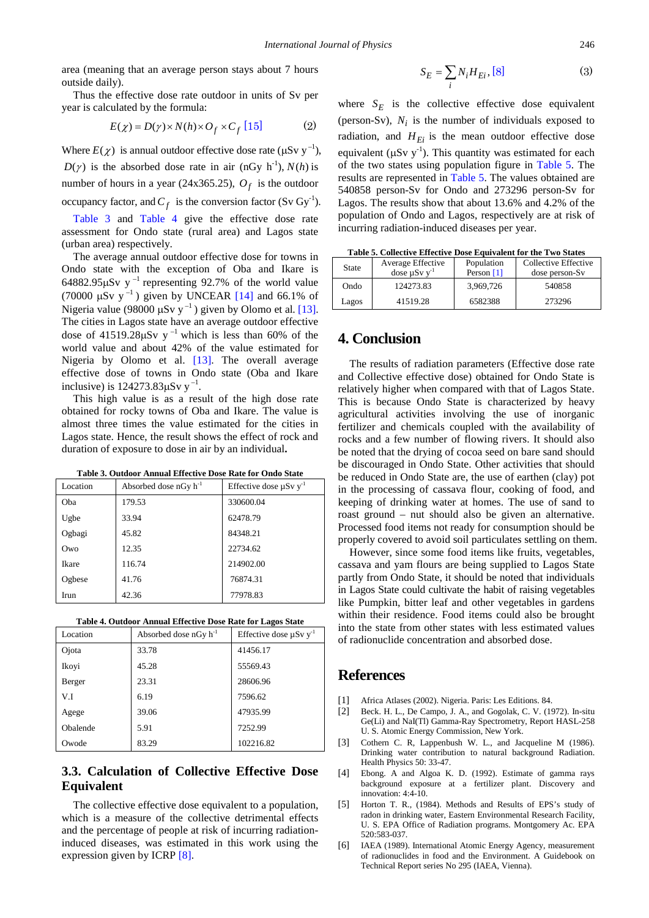area (meaning that an average person stays about 7 hours outside daily).

Thus the effective dose rate outdoor in units of Sv per year is calculated by the formula:

$$
E(\chi) = D(\gamma) \times N(h) \times O_f \times C_f \text{ [15]} \tag{2}
$$

Where  $E(\chi)$  is annual outdoor effective dose rate ( $\mu$ Sv y<sup>-1</sup>),  $D(\gamma)$  is the absorbed dose rate in air (nGy h<sup>-1</sup>),  $N(h)$  is number of hours in a year (24x365.25),  $O_f$  is the outdoor occupancy factor, and  $C_f$  is the conversion factor (Sv Gy<sup>-1</sup>).

[Table 3](#page-2-4) and [Table 4](#page-2-5) give the effective dose rate assessment for Ondo state (rural area) and Lagos state (urban area) respectively.

The average annual outdoor effective dose for towns in Ondo state with the exception of Oba and Ikare is 64882.95 $\mu$ Sv y<sup>-1</sup> representing 92.7% of the world value (70000  $\mu$ Sv y<sup>-1</sup>) given by UNCEAR [\[14\]](#page-3-5) and 66.1% of Nigeria value (98000  $\mu$ Sv y<sup>-1</sup>) given by Olomo et al[. \[13\].](#page-3-7) The cities in Lagos state have an average outdoor effective dose of 41519.28 $\mu$ Sv y<sup>-1</sup> which is less than 60% of the world value and about 42% of the value estimated for Nigeria by Olomo et al. [\[13\].](#page-3-7) The overall average effective dose of towns in Ondo state (Oba and Ikare inclusive) is  $124273.83 \mu Sv y^{-1}$ .

This high value is as a result of the high dose rate obtained for rocky towns of Oba and Ikare. The value is almost three times the value estimated for the cities in Lagos state. Hence, the result shows the effect of rock and duration of exposure to dose in air by an individual**.**

**Table 3. Outdoor Annual Effective Dose Rate for Ondo State**

<span id="page-2-4"></span>

| Location | Absorbed dose $nGy h^{-1}$ | Effective dose $\mu Sv$ y <sup>-1</sup> |
|----------|----------------------------|-----------------------------------------|
| Oba      | 179.53                     | 330600.04                               |
| Ugbe     | 33.94                      | 62478.79                                |
| Ogbagi   | 45.82                      | 84348.21                                |
| Owo      | 12.35                      | 22734.62                                |
| Ikare    | 116.74                     | 214902.00                               |
| Ogbese   | 41.76                      | 76874.31                                |
| Irun     | 42.36                      | 77978.83                                |



<span id="page-2-5"></span>

| Location | Absorbed dose $nGy h^{-1}$ | Effective dose $\mu Sv$ y <sup>-1</sup> |  |
|----------|----------------------------|-----------------------------------------|--|
| Ojota    | 33.78                      | 41456.17                                |  |
| Ikoyi    | 45.28                      | 55569.43                                |  |
| Berger   | 23.31                      | 28606.96                                |  |
| V.I      | 6.19                       | 7596.62                                 |  |
| Agege    | 39.06                      | 47935.99                                |  |
| Obalende | 5.91                       | 7252.99                                 |  |
| Owode    | 83.29                      | 102216.82                               |  |

## **3.3. Calculation of Collective Effective Dose Equivalent**

The collective effective dose equivalent to a population, which is a measure of the collective detrimental effects and the percentage of people at risk of incurring radiationinduced diseases, was estimated in this work using the expression given by ICRP [\[8\].](#page-3-8)

$$
S_E = \sum_i N_i H_{Ei}, [8]
$$
 (3)

where  $S_F$  is the collective effective dose equivalent (person-Sv),  $N_i$  is the number of individuals exposed to radiation, and  $H_{Ei}$  is the mean outdoor effective dose equivalent ( $\mu Sv$  y<sup>-1</sup>). This quantity was estimated for each of the two states using population figure in [Table 5.](#page-2-6) The results are represented in [Table 5.](#page-2-6) The values obtained are 540858 person-Sv for Ondo and 273296 person-Sv for Lagos. The results show that about 13.6% and 4.2% of the population of Ondo and Lagos, respectively are at risk of incurring radiation-induced diseases per year.

**Table 5. Collective Effective Dose Equivalent for the Two States**

<span id="page-2-6"></span>

| State | Average Effective<br>dose $\mu Sv$ y <sup>-1</sup> | Population<br>Person [1] | Collective Effective<br>dose person-Sv |
|-------|----------------------------------------------------|--------------------------|----------------------------------------|
| Ondo  | 124273.83                                          | 3,969,726                | 540858                                 |
| Lagos | 41519.28                                           | 6582388                  | 273296                                 |

## **4. Conclusion**

The results of radiation parameters (Effective dose rate and Collective effective dose) obtained for Ondo State is relatively higher when compared with that of Lagos State. This is because Ondo State is characterized by heavy agricultural activities involving the use of inorganic fertilizer and chemicals coupled with the availability of rocks and a few number of flowing rivers. It should also be noted that the drying of cocoa seed on bare sand should be discouraged in Ondo State. Other activities that should be reduced in Ondo State are, the use of earthen (clay) pot in the processing of cassava flour, cooking of food, and keeping of drinking water at homes. The use of sand to roast ground – nut should also be given an alternative. Processed food items not ready for consumption should be properly covered to avoid soil particulates settling on them.

However, since some food items like fruits, vegetables, cassava and yam flours are being supplied to Lagos State partly from Ondo State, it should be noted that individuals in Lagos State could cultivate the habit of raising vegetables like Pumpkin, bitter leaf and other vegetables in gardens within their residence. Food items could also be brought into the state from other states with less estimated values of radionuclide concentration and absorbed dose.

## **References**

- <span id="page-2-7"></span>[1] Africa Atlases (2002). Nigeria. Paris: Les Editions. 84.
- <span id="page-2-3"></span>[2] Beck. H. L., De Campo, J. A., and Gogolak, C. V. (1972). In-situ Ge(Li) and NaI(Tl) Gamma-Ray Spectrometry, Report HASL-258 U. S. Atomic Energy Commission, New York.
- <span id="page-2-0"></span>[3] Cothern C. R, Lappenbush W. L., and Jacqueline M (1986). Drinking water contribution to natural background Radiation. Health Physics 50: 33-47.
- <span id="page-2-1"></span>[4] Ebong. A and Algoa K. D. (1992). Estimate of gamma rays background exposure at a fertilizer plant. Discovery and innovation: 4:4-10.
- [5] Horton T. R., (1984). Methods and Results of EPS's study of radon in drinking water, Eastern Environmental Research Facility, U. S. EPA Office of Radiation programs. Montgomery Ac. EPA 520:583-037.
- <span id="page-2-2"></span>[6] IAEA (1989). International Atomic Energy Agency, measurement of radionuclides in food and the Environment. A Guidebook on Technical Report series No 295 (IAEA, Vienna).